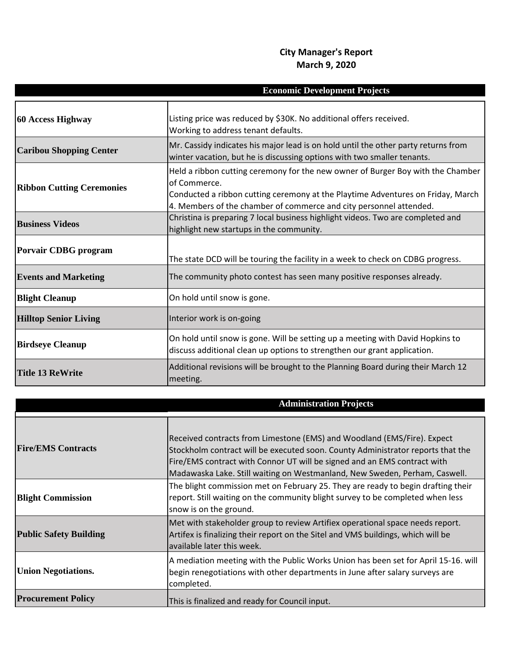## **City Manager's Report March 9, 2020**

| <b>Economic Development Projects</b> |                                                                                                                                                                                                                                                          |
|--------------------------------------|----------------------------------------------------------------------------------------------------------------------------------------------------------------------------------------------------------------------------------------------------------|
| 60 Access Highway                    | Listing price was reduced by \$30K. No additional offers received.<br>Working to address tenant defaults.                                                                                                                                                |
| <b>Caribou Shopping Center</b>       | Mr. Cassidy indicates his major lead is on hold until the other party returns from<br>winter vacation, but he is discussing options with two smaller tenants.                                                                                            |
| <b>Ribbon Cutting Ceremonies</b>     | Held a ribbon cutting ceremony for the new owner of Burger Boy with the Chamber<br>of Commerce.<br>Conducted a ribbon cutting ceremony at the Playtime Adventures on Friday, March<br>4. Members of the chamber of commerce and city personnel attended. |
| <b>Business Videos</b>               | Christina is preparing 7 local business highlight videos. Two are completed and<br>highlight new startups in the community.                                                                                                                              |
| <b>Porvair CDBG</b> program          | The state DCD will be touring the facility in a week to check on CDBG progress.                                                                                                                                                                          |
| <b>Events and Marketing</b>          | The community photo contest has seen many positive responses already.                                                                                                                                                                                    |
| <b>Blight Cleanup</b>                | On hold until snow is gone.                                                                                                                                                                                                                              |
| <b>Hilltop Senior Living</b>         | Interior work is on-going                                                                                                                                                                                                                                |
| <b>Birdseye Cleanup</b>              | On hold until snow is gone. Will be setting up a meeting with David Hopkins to<br>discuss additional clean up options to strengthen our grant application.                                                                                               |
| Title 13 ReWrite                     | Additional revisions will be brought to the Planning Board during their March 12<br>meeting.                                                                                                                                                             |

|                               | <b>Administration Projects</b>                                                                                                                                                                                                                                                                                       |
|-------------------------------|----------------------------------------------------------------------------------------------------------------------------------------------------------------------------------------------------------------------------------------------------------------------------------------------------------------------|
| <b>Fire/EMS Contracts</b>     | Received contracts from Limestone (EMS) and Woodland (EMS/Fire). Expect<br>Stockholm contract will be executed soon. County Administrator reports that the<br>Fire/EMS contract with Connor UT will be signed and an EMS contract with<br>Madawaska Lake. Still waiting on Westmanland, New Sweden, Perham, Caswell. |
| <b>Blight Commission</b>      | The blight commission met on February 25. They are ready to begin drafting their<br>report. Still waiting on the community blight survey to be completed when less<br>snow is on the ground.                                                                                                                         |
| <b>Public Safety Building</b> | Met with stakeholder group to review Artifiex operational space needs report.<br>Artifex is finalizing their report on the Sitel and VMS buildings, which will be<br>available later this week.                                                                                                                      |
| <b>Union Negotiations.</b>    | A mediation meeting with the Public Works Union has been set for April 15-16. will<br>begin renegotiations with other departments in June after salary surveys are<br>completed.                                                                                                                                     |
| <b>Procurement Policy</b>     | This is finalized and ready for Council input.                                                                                                                                                                                                                                                                       |